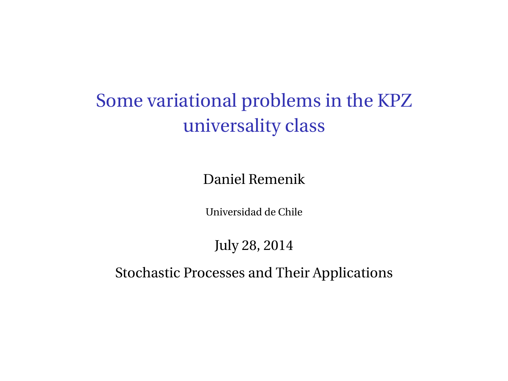Some variational problems in the KPZ universality class

Daniel Remenik

Universidad de Chile

July 28, 2014

Stochastic Processes and Their Applications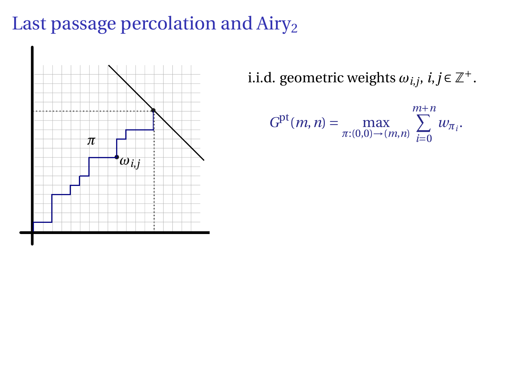# Last passage percolation and Airy<sub>2</sub>



i.i.d. geometric weights  $\omega_{i,j}$ ,  $i, j \in \mathbb{Z}^+$ .

$$
G^{\rm pt}(m,n)=\max_{\pi:(0,0)\to(m,n)}\sum_{i=0}^{m+n}w_{\pi_i}.
$$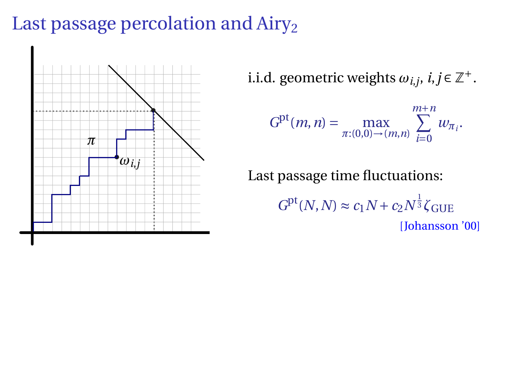# Last passage percolation and  $Airy<sub>2</sub>$



i.i.d. geometric weights  $\omega_{i,j}$ ,  $i, j \in \mathbb{Z}^+$ .

$$
G^{\rm pt}(m,n) = \max_{\pi:(0,0) \to (m,n)} \sum_{i=0}^{m+n} w_{\pi_i}.
$$

Last passage time fluctuations:  $G<sup>pt</sup>(N, N) \approx c_1 N + c_2 N^{\frac{1}{3}} \zeta_{GUE}$ [Johansson '00]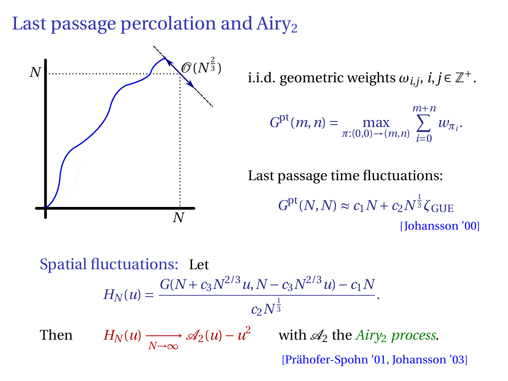# Last passage percolation and  $Airy<sub>2</sub>$



Spatial fluctuations: Let  $H_N(u) = \frac{G(N + c_3 N^{2/3} u, N - c_3 N^{2/3} u) - c_1 N}{\frac{1}{2}}$  $\frac{c_2 N^{\frac{1}{3}}}{c_2 N^{\frac{1}{3}}}$ . 3 Then  $H_N(u) \xrightarrow[N \to \infty]{} \mathscr{A}_2(u) - u^2$  with  $\mathscr{A}_2$  the *Airy<sub>2</sub> process*.

[Prähofer-Spohn '01, Johansson '03]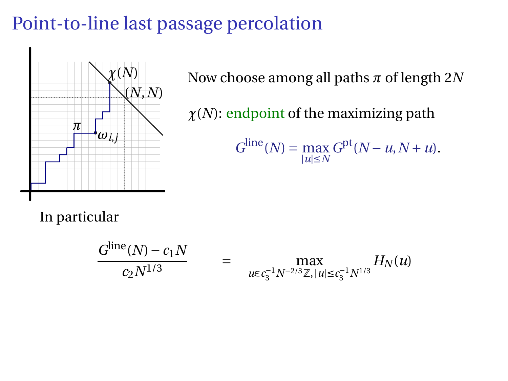# Point-to-line last passage percolation



Now choose among all paths *π* of length 2*N*

*χ*(*N*): endpoint of the maximizing path

$$
G^{\text{line}}(N) = \max_{|u| \le N} G^{\text{pt}}(N - u, N + u).
$$

In particular

$$
\frac{G^{\text{line}}(N) - c_1 N}{c_2 N^{1/3}} = \max_{u \in c_3^{-1} N^{-2/3} \mathbb{Z}, |u| \le c_3^{-1} N^{1/3}} H_N(u)
$$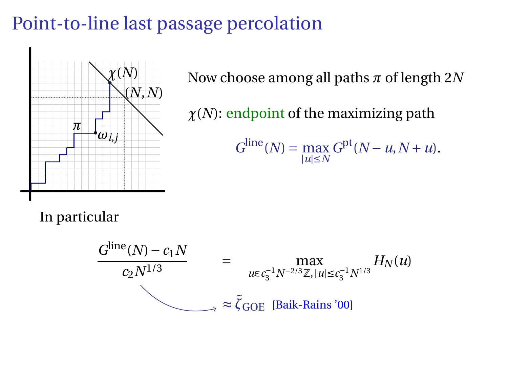# Point-to-line last passage percolation



Now choose among all paths *π* of length 2*N*

*χ*(*N*): endpoint of the maximizing path

$$
G^{\text{line}}(N) = \max_{|u| \le N} G^{\text{pt}}(N - u, N + u).
$$

In particular

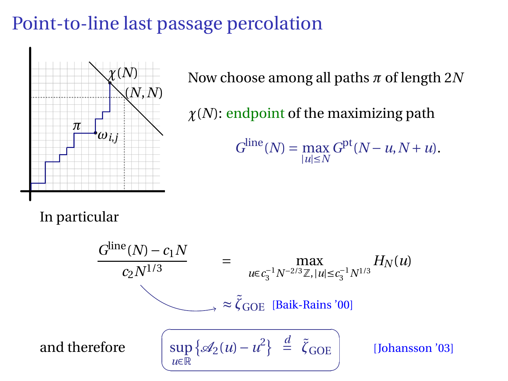# Point-to-line last passage percolation



Now choose among all paths *π* of length 2*N*

*χ*(*N*): endpoint of the maximizing path

$$
G^{\text{line}}(N) = \max_{|u| \le N} G^{\text{pt}}(N - u, N + u).
$$

In particular

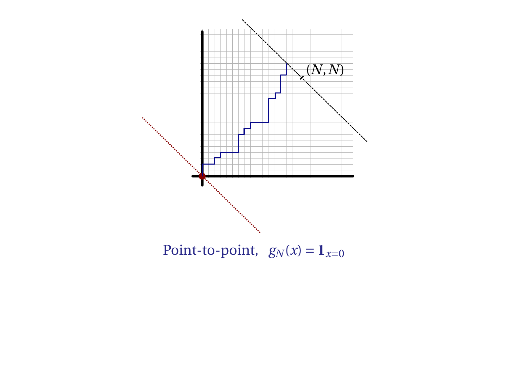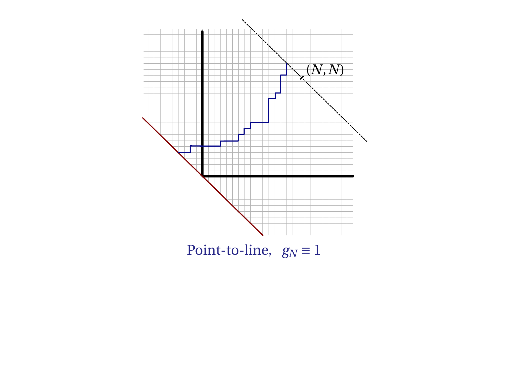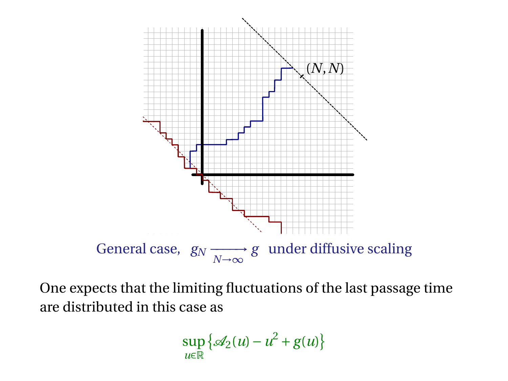

One expects that the limiting fluctuations of the last passage time are distributed in this case as

$$
\sup_{u\in\mathbb{R}}\left\{\mathscr{A}_2(u)-u^2+g(u)\right\}
$$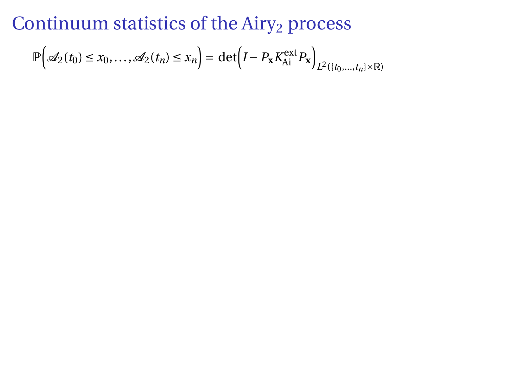$$
\mathbb{P}\Big(\mathscr{A}_2(t_0)\leq x_0,\ldots,\mathscr{A}_2(t_n)\leq x_n\Big)=\det\Big(I-P_{\mathbf{x}}K_{\mathrm{Ai}}^{\mathrm{ext}}P_{\mathbf{x}}\Big)_{L^2(\{t_0,\ldots,t_n\}\times\mathbb{R})}
$$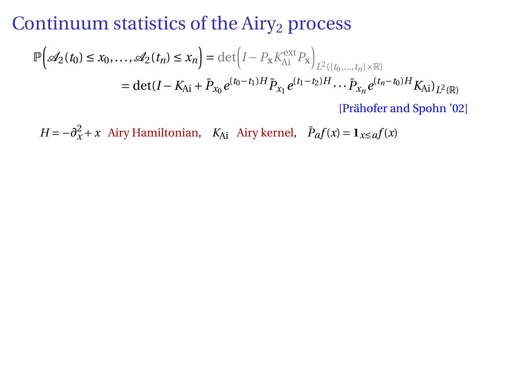$$
\mathbb{P}\Big(\mathcal{A}_2(t_0) \le x_0, \dots, \mathcal{A}_2(t_n) \le x_n\Big) = \det \Big(I - P_{\mathbf{x}} K_{\mathrm{Ai}}^{\mathrm{ext}} P_{\mathbf{x}}\Big)_{L^2(\{t_0, \dots, t_n\} \times \mathbb{R})} \n= \det(I - K_{\mathrm{Ai}} + \bar{P}_{x_0} e^{(t_0 - t_1)H} \bar{P}_{x_1} e^{(t_1 - t_2)H} \cdots \bar{P}_{x_n} e^{(t_n - t_0)H} K_{\mathrm{Ai}})_{L^2(\mathbb{R})} \n\text{[Pr\"ahofer and Spohn '02]}.
$$

 $H = -\partial_x^2 + x$  Airy Hamiltonian,  $K_{Ai}$  Airy kernel,  $\bar{P}_a f(x) = \mathbf{1}_{x \le a} f(x)$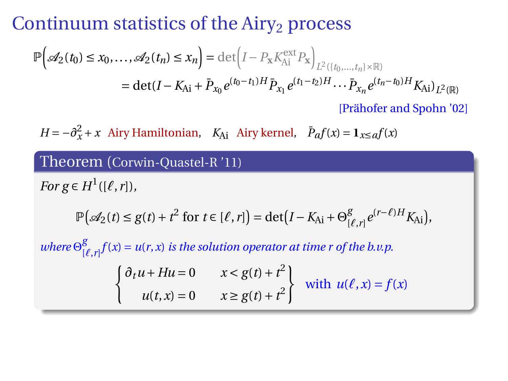$$
\mathbb{P}\Big(\mathcal{A}_2(t_0) \le x_0, ..., \mathcal{A}_2(t_n) \le x_n\Big) = \det \Big(I - P_{\mathbf{x}} K_{\mathrm{Ai}}^{\mathrm{ext}} P_{\mathbf{x}}\Big)_{L^2(\{t_0, ..., t_n\} \times \mathbb{R})}
$$
\n
$$
= \det(I - K_{\mathrm{Ai}} + \bar{P}_{x_0} e^{(t_0 - t_1)H} \bar{P}_{x_1} e^{(t_1 - t_2)H} \cdots \bar{P}_{x_n} e^{(t_n - t_0)H} K_{\mathrm{Ai}})_{L^2(\mathbb{R})}
$$
\n[Prähofer and Spohn '02]

 $H = -\partial_x^2 + x$  Airy Hamiltonian,  $K_{Ai}$  Airy kernel,  $\bar{P}_a f(x) = \mathbf{1}_{x \le a} f(x)$ 

#### Theorem (Corwin-Quastel-R '11)

*For*  $g \in H^1([\ell, r]),$ 

$$
\mathbb{P}\big(\mathscr{A}_2(t)\leq g(t)+t^2\text{ for }t\in[\ell,r]\big)=\det\big(I-K_{\mathrm{Ai}}+\Theta^g_{[\ell,r]}\,e^{(r-\ell)H}K_{\mathrm{Ai}}\big),
$$

 $where \Theta_{\text{L}}^{\text{g}}$  $\int_{[\ell,r]}^g f(x) = u(r,x)$  *is the solution operator at time r of the b.v.p.* 

$$
\begin{cases} \partial_t u + Hu = 0 & x < g(t) + t^2 \\ u(t, x) = 0 & x \ge g(t) + t^2 \end{cases}
$$
 with  $u(\ell, x) = f(x)$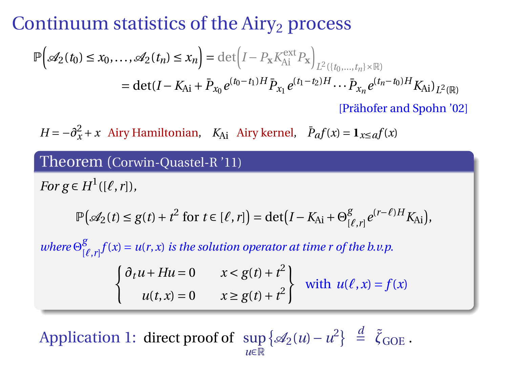$$
\mathbb{P}\Big(\mathcal{A}_2(t_0) \le x_0, ..., \mathcal{A}_2(t_n) \le x_n\Big) = \det \Big(I - P_{\mathbf{x}} K_{\mathrm{Ai}}^{\mathrm{ext}} P_{\mathbf{x}}\Big)_{L^2(\{t_0, ..., t_n\} \times \mathbb{R})}
$$
\n
$$
= \det(I - K_{\mathrm{Ai}} + \bar{P}_{x_0} e^{(t_0 - t_1)H} \bar{P}_{x_1} e^{(t_1 - t_2)H} \cdots \bar{P}_{x_n} e^{(t_n - t_0)H} K_{\mathrm{Ai}})_{L^2(\mathbb{R})}
$$
\n[Prähofer and Spohn '02]

 $H = -\partial_x^2 + x$  Airy Hamiltonian,  $K_{Ai}$  Airy kernel,  $\bar{P}_a f(x) = \mathbf{1}_{x \le a} f(x)$ 

#### Theorem (Corwin-Quastel-R '11)

*For*  $g \in H^1([\ell, r]),$ 

$$
\mathbb{P}\big(\mathscr{A}_2(t)\leq g(t)+t^2\text{ for }t\in[\ell,r]\big)=\det\big(I-K_{\mathrm{Ai}}+\Theta^g_{[\ell,r]}\,e^{(r-\ell)H}K_{\mathrm{Ai}}\big),
$$

 $where \Theta_{\text{L}}^{\text{g}}$  $\int_{[\ell,r]}^g f(x) = u(r,x)$  *is the solution operator at time r of the b.v.p.* 

$$
\begin{cases} \partial_t u + Hu = 0 & x < g(t) + t^2 \\ u(t, x) = 0 & x \ge g(t) + t^2 \end{cases}
$$
 with  $u(\ell, x) = f(x)$ 

 $\text{Application 1: direct proof of } \sup \{ \mathcal{A}_2(u) - u^2 \} \stackrel{d}{=} \tilde{\zeta}_{\text{GOE}}.$ *u*∈R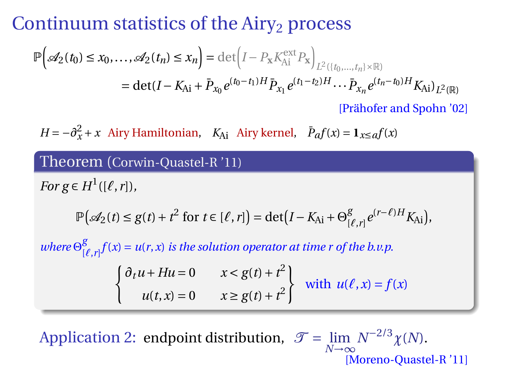$$
\mathbb{P}\Big(\mathcal{A}_2(t_0) \le x_0, ..., \mathcal{A}_2(t_n) \le x_n\Big) = \det \Big(I - P_{\mathbf{x}} K_{\mathrm{Ai}}^{\mathrm{ext}} P_{\mathbf{x}}\Big)_{L^2(\{t_0, ..., t_n\} \times \mathbb{R})}
$$
\n
$$
= \det(I - K_{\mathrm{Ai}} + \bar{P}_{x_0} e^{(t_0 - t_1)H} \bar{P}_{x_1} e^{(t_1 - t_2)H} \cdots \bar{P}_{x_n} e^{(t_n - t_0)H} K_{\mathrm{Ai}})_{L^2(\mathbb{R})}
$$
\n[Prähofer and Spohn '02]

 $H = -\partial_x^2 + x$  Airy Hamiltonian,  $K_{Ai}$  Airy kernel,  $\bar{P}_a f(x) = \mathbf{1}_{x \le a} f(x)$ 

#### Theorem (Corwin-Quastel-R '11)

*For*  $g \in H^1([\ell, r]),$ 

$$
\mathbb{P}\big(\mathscr{A}_2(t)\leq g(t)+t^2\text{ for }t\in[\ell,r]\big)=\det\big(I-K_{\mathrm{Ai}}+\Theta^g_{[\ell,r]}\,e^{(r-\ell)H}K_{\mathrm{Ai}}\big),
$$

 $where \Theta_{\text{L}}^{\text{g}}$  $\int_{[\ell,r]}^g f(x) = u(r,x)$  *is the solution operator at time r of the b.v.p.* 

$$
\begin{cases} \partial_t u + Hu = 0 & x < g(t) + t^2 \\ u(t, x) = 0 & x \ge g(t) + t^2 \end{cases}
$$
 with  $u(\ell, x) = f(x)$ 

Application 2: endpoint distribution,  $\mathcal{T} = \lim_{N \to \infty} N^{-2/3} \chi(N)$ . [Moreno-Quastel-R '11]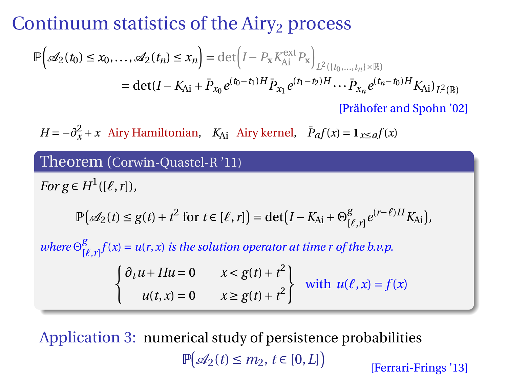$$
\mathbb{P}\Big(\mathcal{A}_2(t_0) \le x_0, ..., \mathcal{A}_2(t_n) \le x_n\Big) = \det \Big(I - P_{\mathbf{x}} K_{\mathrm{Ai}}^{\mathrm{ext}} P_{\mathbf{x}}\Big)_{L^2(\{t_0, ..., t_n\} \times \mathbb{R})}
$$
\n
$$
= \det(I - K_{\mathrm{Ai}} + \bar{P}_{x_0} e^{(t_0 - t_1)H} \bar{P}_{x_1} e^{(t_1 - t_2)H} \cdots \bar{P}_{x_n} e^{(t_n - t_0)H} K_{\mathrm{Ai}})_{L^2(\mathbb{R})}
$$
\n[Prähofer and Spohn '02]

 $H = -\partial_x^2 + x$  Airy Hamiltonian,  $K_{Ai}$  Airy kernel,  $\bar{P}_a f(x) = \mathbf{1}_{x \le a} f(x)$ 

#### Theorem (Corwin-Quastel-R '11)

*For*  $g \in H^1([\ell, r]),$ 

$$
\mathbb{P}\big(\mathscr{A}_2(t)\leq g(t)+t^2\text{ for }t\in[\ell,r]\big)=\det\big(I-K_{\mathrm{Ai}}+\Theta^g_{[\ell,r]}\,e^{(r-\ell)H}K_{\mathrm{Ai}}\big),
$$

 $where \Theta_{\text{L}}^{\text{g}}$  $\int_{[\ell,r]}^g f(x) = u(r,x)$  *is the solution operator at time r of the b.v.p.* 

$$
\begin{cases} \partial_t u + Hu = 0 & x < g(t) + t^2 \\ u(t, x) = 0 & x \ge g(t) + t^2 \end{cases}
$$
 with  $u(\ell, x) = f(x)$ 

Application 3: numerical study of persistence probabilities  $\mathbb{P}(\mathcal{A}_2(t) \leq m_2, t \in [0,L])$ 

[Ferrari-Frings '13]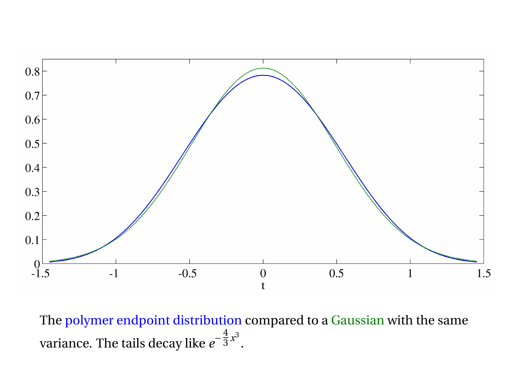

The polymer endpoint distribution compared to a Gaussian with the same variance. The tails decay like  $e^{-\tfrac{4}{3}x^3}.$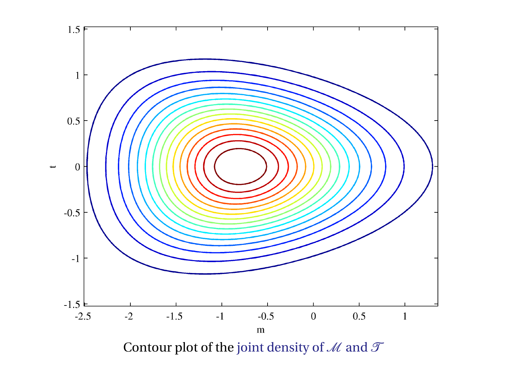

Contour plot of the joint density of  $\mathcal M$  and  $\mathcal T$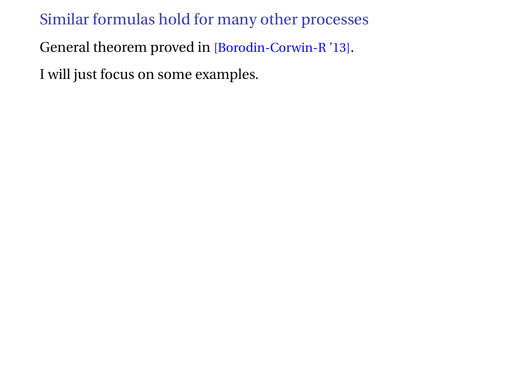General theorem proved in [Borodin-Corwin-R '13].

I will just focus on some examples.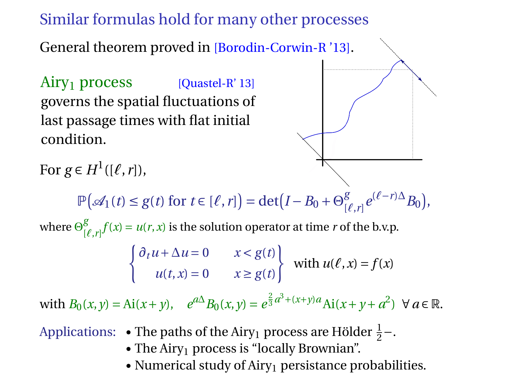General theorem proved in [Borodin-Corwin-R '13].

 $Airy_1$  process [Quastel-R' 13] governs the spatial fluctuations of last passage times with flat initial condition.



For  $g \in H^1([\ell, r]),$ 

 $\mathbb{P}(\mathcal{A}_1(t) \leq g(t) \text{ for } t \in [\ell, r]) = \det(I - B_0 + \Theta_0^g)$  $\int_{[\ell,r]}^g e^{(\ell-r)\Delta} B_0$ ,

where  $\Theta_{\text{\tiny L}}^{\text{g}}$  $\int_{[\ell,r]}^{g} f(x) = u(r,x)$  is the solution operator at time *r* of the b.v.p.

$$
\begin{cases} \partial_t u + \Delta u = 0 & x < g(t) \\ u(t, x) = 0 & x \ge g(t) \end{cases}
$$
 with  $u(\ell, x) = f(x)$ 

with  $B_0(x, y) = Ai(x + y)$ ,  $e^{a\Delta} B_0(x, y) = e^{\frac{2}{3}a^3 + (x + y)a} Ai(x + y + a^2)$   $\forall a \in \mathbb{R}$ .

Applications: • The paths of the Airy<sub>1</sub> process are Hölder  $\frac{1}{2}$ –.

- The Airy<sub>1</sub> process is "locally Brownian".
- Numerical study of  $Airy_1$  persistance probabilities.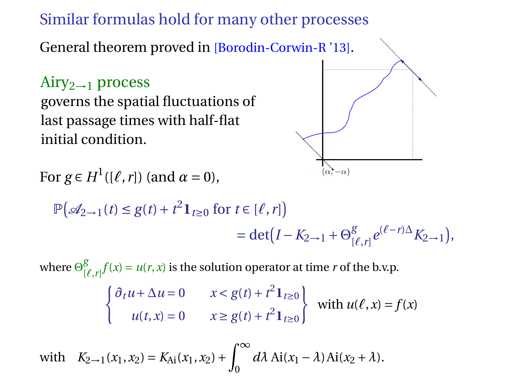General theorem proved in [Borodin-Corwin-R '13].

 $Airv_{2\rightarrow1}$  process governs the spatial fluctuations of last passage times with half-flat initial condition.



For  $g \in H^1([\ell, r])$  (and  $\alpha = 0$ ),

$$
\mathbb{P}(\mathcal{A}_{2\to 1}(t) \le g(t) + t^2 \mathbf{1}_{t \ge 0} \text{ for } t \in [\ell, r])
$$
  
= det  $(I - K_{2\to 1} + \Theta_{[\ell, r]}^g e^{(\ell - r)\Delta} K_{2\to 1}),$ 

where  $\Theta_{\text{\tiny L}}^{\text{g}}$  $\int_{[\ell,r]}^{g} f(x) = u(r,x)$  is the solution operator at time *r* of the b.v.p.  $\int \partial_t u + \Delta u = 0$   $x < g(t) + t^2 \mathbf{1}_{t \ge 0}$  $u(t, x) = 0$   $x \ge g(t) + t^2 \mathbf{1}_{t \ge 0}$ with  $u(\ell, x) = f(x)$ 

with  $K_{2\to 1}(x_1, x_2) = K_{\text{Ai}}(x_1, x_2) + \int_{-\infty}^{\infty}$  $d\lambda$  Ai( $x_1 - \lambda$ )Ai( $x_2 + \lambda$ ).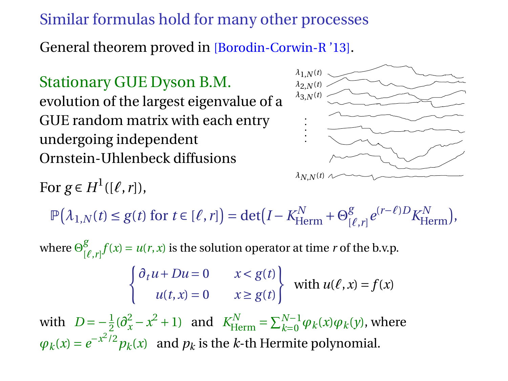General theorem proved in [Borodin-Corwin-R '13].

Stationary GUE Dyson B.M. evolution of the largest eigenvalue of a GUE random matrix with each entry undergoing independent Ornstein-Uhlenbeck diffusions

For  $g \in H^1([\ell, r]),$ 



 $\mathbb{P}(\lambda_{1,N}(t) \leq g(t) \text{ for } t \in [\ell, r]) = \det(I - K_{\text{Herm}}^N + \Theta_{\text{L}}^g$  $\int_{[\ell,r]}^g e^{(r-\ell)D} K^N_{\text{Herm}}$ ,

where  $\Theta_{\text{\tiny L}}^{\text{g}}$  $\int_{[\ell,r]}^{g} f(x) = u(r,x)$  is the solution operator at time *r* of the b.v.p.

$$
\begin{cases} \partial_t u + Du = 0 & x < g(t) \\ u(t, x) = 0 & x \ge g(t) \end{cases}
$$
 with  $u(\ell, x) = f(x)$ 

with  $D = -\frac{1}{2}(\partial_x^2 - x^2 + 1)$  and  $K_{\text{Herm}}^N = \sum_{k=0}^{N-1} \varphi_k(x) \varphi_k(y)$ , where  $\varphi_k(x) = e^{-x^2/2} p_k(x)$  and  $p_k$  is the *k*-th Hermite polynomial.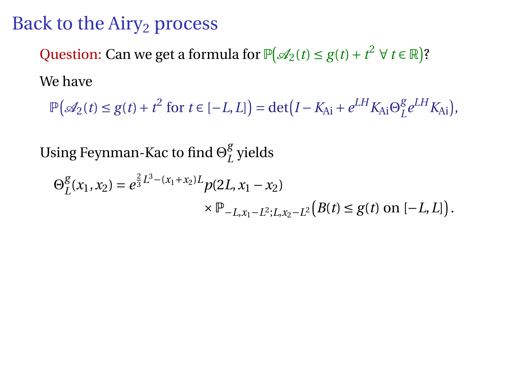# Back to the  $Airy<sub>2</sub>$  process

Question: Can we get a formula for  $\mathbb{P}(\mathcal{A}_2(t) \leq g(t) + t^2 \ \forall \ t \in \mathbb{R})$ ? We have

 $\mathbb{P}(\mathcal{A}_2(t) \leq g(t) + t^2$  for  $t \in [-L, L]$  = det(*I* − *K*<sub>Ai</sub> +  $e^{LH} K$ <sub>Ai</sub>  $\Theta_L^g$  $L^{g}e^{LH}K_{\mathrm{Ai}}),$ 

Using Feynman-Kac to find Θ *g L* yields

$$
\Theta_{L}^{g}(x_1, x_2) = e^{\frac{2}{3}L^3 - (x_1 + x_2)L} p(2L, x_1 - x_2)
$$
  
 
$$
\times \mathbb{P}_{-L, x_1 - L^2; L, x_2 - L^2} (B(t) \le g(t) \text{ on } [-L, L]).
$$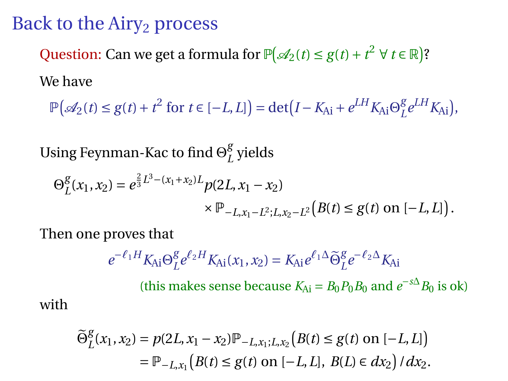## Back to the Airy<sub>2</sub> process

Question: Can we get a formula for  $\mathbb{P}(\mathcal{A}_2(t) \leq g(t) + t^2 \ \forall \ t \in \mathbb{R})$ ? We have

 $\mathbb{P}(\mathcal{A}_2(t) \leq g(t) + t^2$  for  $t \in [-L, L]$  = det(*I* − *K*<sub>Ai</sub> +  $e^{LH} K$ <sub>Ai</sub>  $\Theta_L^g$  $L^{g}e^{LH}K_{\mathrm{Ai}}),$ 

Using Feynman-Kac to find Θ *g L* yields

$$
\Theta_{L}^{g}(x_1, x_2) = e^{\frac{2}{3}L^3 - (x_1 + x_2)L} p(2L, x_1 - x_2)
$$
  
 
$$
\times \mathbb{P}_{-L, x_1 - L^2; L, x_2 - L^2} (B(t) \le g(t) \text{ on } [-L, L]).
$$

Then one proves that

with

$$
e^{-\ell_1 H} K_{Ai} \Theta_L^g e^{\ell_2 H} K_{Ai}(x_1, x_2) = K_{Ai} e^{\ell_1 \Delta} \widetilde{\Theta}_L^g e^{-\ell_2 \Delta} K_{Ai}
$$
  
(this makes sense because  $K_{Ai} = B_0 P_0 B_0$  and  $e^{-s\Delta} B_0$  is ok)

$$
\begin{aligned} \widetilde{\Theta}_L^g(x_1, x_2) &= p(2L, x_1 - x_2) \mathbb{P}_{-L, x_1; L, x_2} \big( B(t) \le g(t) \text{ on } [-L, L] \big) \\ &= \mathbb{P}_{-L, x_1} \big( B(t) \le g(t) \text{ on } [-L, L], \ B(L) \in dx_2 \big) \, / \, dx_2. \end{aligned}
$$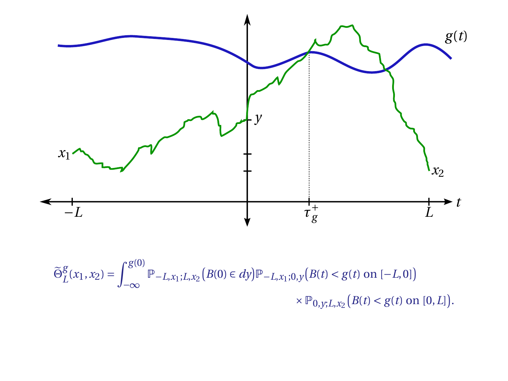

$$
\widetilde{\Theta}_{L}^{g}(x_{1}, x_{2}) = \int_{-\infty}^{g(0)} \mathbb{P}_{-L, x_{1}; L, x_{2}}(B(0) \in dy) \mathbb{P}_{-L, x_{1}; 0, y}(B(t) < g(t) \text{ on } [-L, 0]) \times \mathbb{P}_{0, y; L, x_{2}}(B(t) < g(t) \text{ on } [0, L]).
$$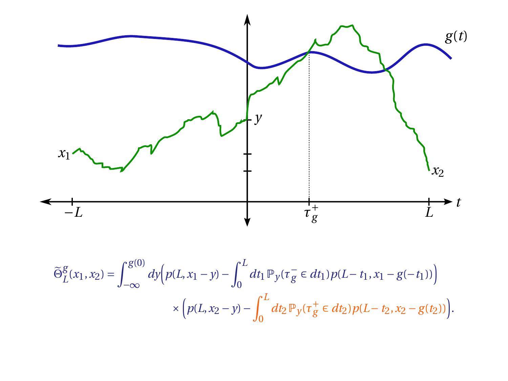

$$
\widetilde{\Theta}_{L}^{g}(x_{1}, x_{2}) = \int_{-\infty}^{g(0)} dy \Big( p(L, x_{1} - y) - \int_{0}^{L} dt_{1} \, \mathbb{P}_{y}(\tau_{g}^{-} \in dt_{1}) \, p(L - t_{1}, x_{1} - g(-t_{1})) \Big) \times \Big( p(L, x_{2} - y) - \int_{0}^{L} dt_{2} \, \mathbb{P}_{y}(\tau_{g}^{+} \in dt_{2}) \, p(L - t_{2}, x_{2} - g(t_{2})) \Big).
$$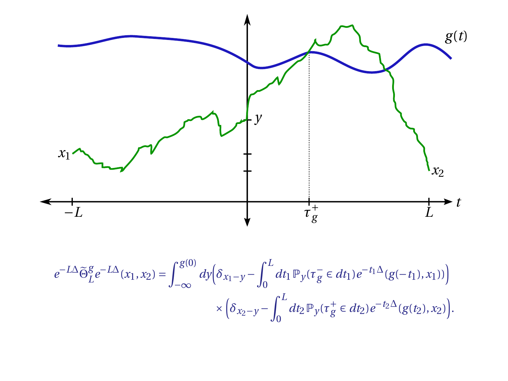

$$
e^{-L\Delta} \widetilde{\Theta}_L^g e^{-L\Delta}(x_1, x_2) = \int_{-\infty}^{g(0)} dy \Big( \delta_{x_1 - y} - \int_0^L dt_1 \, \mathbb{P}_y(\tau_g^- \in dt_1) \, e^{-t_1 \Delta}(g(-t_1), x_1)) \Big) \\ \times \Big( \delta_{x_2 - y} - \int_0^L dt_2 \, \mathbb{P}_y(\tau_g^+ \in dt_2) \, e^{-t_2 \Delta}(g(t_2), x_2) \Big).
$$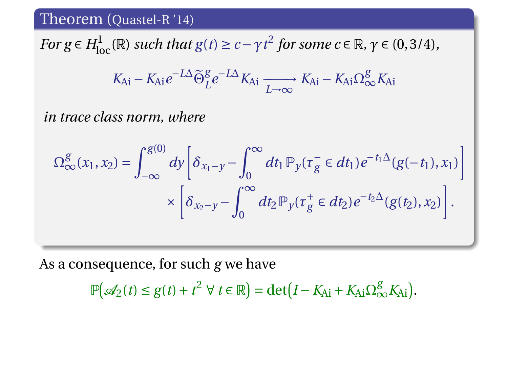*For g*  $\in$  *H*<sub>loc</sub>( $\mathbb{R}$ ) *such that g*(*t*)  $\ge$  *c* −  $\gamma$ *t*<sup>2</sup> *for some c*  $\in$   $\mathbb{R}$ *,*  $\gamma$   $\in$  (0,3/4)*,* 

$$
K_{Ai} - K_{Ai}e^{-L\Delta}\widetilde{\Theta}_{L}^{g}e^{-L\Delta}K_{Ai} \xrightarrow[L \to \infty]{} K_{Ai} - K_{Ai}\Omega_{\infty}^{g}K_{Ai}
$$

*in trace class norm, where*

$$
\Omega_{\infty}^{g}(x_1, x_2) = \int_{-\infty}^{g(0)} dy \left[ \delta_{x_1 - y} - \int_{0}^{\infty} dt_1 \, \mathbb{P}_y(\tau_g^- \in dt_1) e^{-t_1 \Delta} (g(-t_1), x_1) \right] \times \left[ \delta_{x_2 - y} - \int_{0}^{\infty} dt_2 \, \mathbb{P}_y(\tau_g^+ \in dt_2) e^{-t_2 \Delta} (g(t_2), x_2) \right].
$$

As a consequence, for such *g* we have

 $\mathbb{P}(\mathcal{A}_2(t) \leq g(t) + t^2 \ \forall \ t \in \mathbb{R}) = \det(I - K_{Ai} + K_{Ai}\Omega_{\infty}^g K_{Ai}).$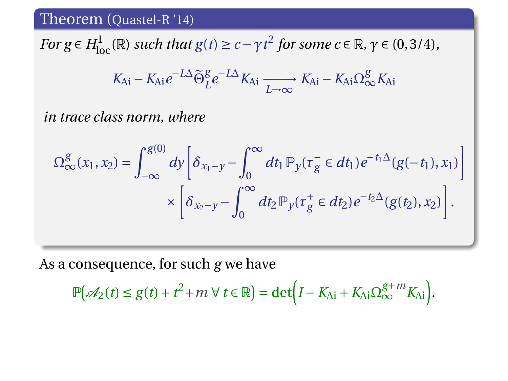*For g*  $\in$  *H*<sub>loc</sub>( $\mathbb{R}$ ) *such that g*(*t*)  $\ge$  *c* −  $\gamma$ *t*<sup>2</sup> *for some c*  $\in$   $\mathbb{R}$ *,*  $\gamma$   $\in$  (0,3/4)*,* 

$$
K_{Ai} - K_{Ai}e^{-L\Delta}\widetilde{\Theta}_{L}^{g}e^{-L\Delta}K_{Ai} \xrightarrow[L \to \infty]{} K_{Ai} - K_{Ai}\Omega_{\infty}^{g}K_{Ai}
$$

*in trace class norm, where*

$$
\Omega_{\infty}^{g}(x_1, x_2) = \int_{-\infty}^{g(0)} dy \left[ \delta_{x_1 - y} - \int_{0}^{\infty} dt_1 \, \mathbb{P}_y(\tau_g^- \in dt_1) e^{-t_1 \Delta} (g(-t_1), x_1) \right] \times \left[ \delta_{x_2 - y} - \int_{0}^{\infty} dt_2 \, \mathbb{P}_y(\tau_g^+ \in dt_2) e^{-t_2 \Delta} (g(t_2), x_2) \right].
$$

As a consequence, for such *g* we have

$$
\mathbb{P}(\mathscr{A}_2(t) \le g(t) + t^2 + m \,\forall \, t \in \mathbb{R}) = \det \Big( I - K_{\mathrm{Ai}} + K_{\mathrm{Ai}} \Omega_{\infty}^{g+m} K_{\mathrm{Ai}} \Big).
$$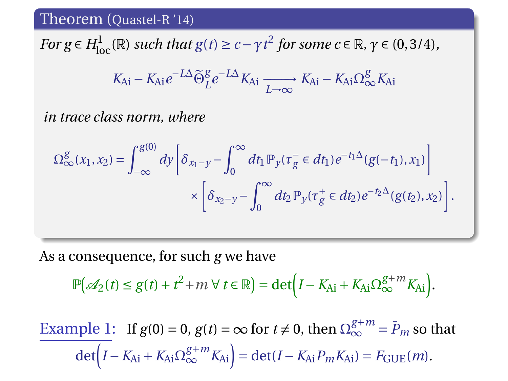*For g*  $\in$  *H*<sub>loc</sub>( $\mathbb{R}$ ) *such that g*(*t*)  $\ge$  *c* −  $\gamma$ *t*<sup>2</sup> *for some c*  $\in$   $\mathbb{R}$ *,*  $\gamma$   $\in$  (0,3/4)*,* 

$$
K_{Ai} - K_{Ai}e^{-L\Delta}\widetilde{\Theta}_{L}^{g}e^{-L\Delta}K_{Ai} \xrightarrow[L \to \infty]{} K_{Ai} - K_{Ai}\Omega_{\infty}^{g}K_{Ai}
$$

*in trace class norm, where*

$$
\Omega_{\infty}^{g}(x_1, x_2) = \int_{-\infty}^{g(0)} dy \left[ \delta_{x_1 - y} - \int_{0}^{\infty} dt_1 \mathbb{P}_y(\tau_g^{-} \in dt_1) e^{-t_1 \Delta} (g(-t_1), x_1) \right] \times \left[ \delta_{x_2 - y} - \int_{0}^{\infty} dt_2 \mathbb{P}_y(\tau_g^{+} \in dt_2) e^{-t_2 \Delta} (g(t_2), x_2) \right].
$$

As a consequence, for such *g* we have

$$
\mathbb{P}(\mathcal{A}_2(t) \le g(t) + t^2 + m \,\forall \, t \in \mathbb{R}) = \det \left(I - K_{\mathrm{Ai}} + K_{\mathrm{Ai}} \Omega_{\infty}^{g+m} K_{\mathrm{Ai}}\right).
$$

Example 1: If  $g(0) = 0$ ,  $g(t) = \infty$  for  $t \neq 0$ , then  $\Omega_{\infty}^{g+m} = \overline{P}_m$  so that  $\det(I - K_{\text{Ai}} + K_{\text{Ai}}\Omega_{\infty}^{g+m}K_{\text{Ai}}) = \det(I - K_{\text{Ai}}P_mK_{\text{Ai}}) = F_{\text{GUE}}(m).$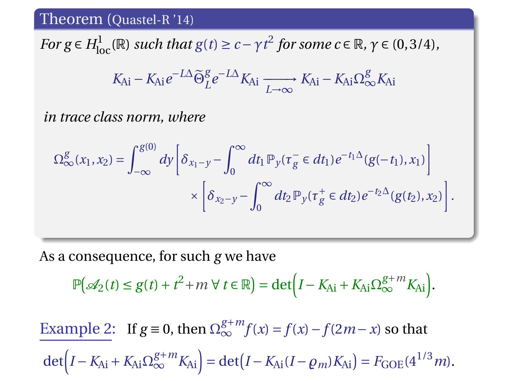*For g*  $\in$  *H*<sub>loc</sub>( $\mathbb{R}$ ) *such that g*(*t*)  $\ge$  *c* −  $\gamma$ *t*<sup>2</sup> *for some c*  $\in$   $\mathbb{R}$ *,*  $\gamma$   $\in$  (0,3/4)*,* 

$$
K_{Ai} - K_{Ai}e^{-L\Delta}\widetilde{\Theta}_{L}^{g}e^{-L\Delta}K_{Ai} \xrightarrow[L \to \infty]{} K_{Ai} - K_{Ai}\Omega_{\infty}^{g}K_{Ai}
$$

*in trace class norm, where*

$$
\Omega_{\infty}^{g}(x_1, x_2) = \int_{-\infty}^{g(0)} dy \left[ \delta_{x_1 - y} - \int_{0}^{\infty} dt_1 \mathbb{P}_y(\tau_g^{-} \in dt_1) e^{-t_1 \Delta} (g(-t_1), x_1) \right] \times \left[ \delta_{x_2 - y} - \int_{0}^{\infty} dt_2 \mathbb{P}_y(\tau_g^{+} \in dt_2) e^{-t_2 \Delta} (g(t_2), x_2) \right].
$$

As a consequence, for such *g* we have

$$
\mathbb{P}(\mathcal{A}_2(t) \le g(t) + t^2 + m \,\forall \, t \in \mathbb{R}) = \det \left(I - K_{\mathrm{Ai}} + K_{\mathrm{Ai}} \Omega_{\infty}^{g+m} K_{\mathrm{Ai}}\right).
$$

Example 2: If  $g \equiv 0$ , then  $\Omega_{\infty}^{g+m} f(x) = f(x) - f(2m - x)$  so that  $\det(I - K_{\text{Ai}} + K_{\text{Ai}}\Omega_{\infty}^{g+m}K_{\text{Ai}}) = \det(I - K_{\text{Ai}}(I - \rho_m)K_{\text{Ai}}) = F_{\text{GOE}}(4^{1/3}m).$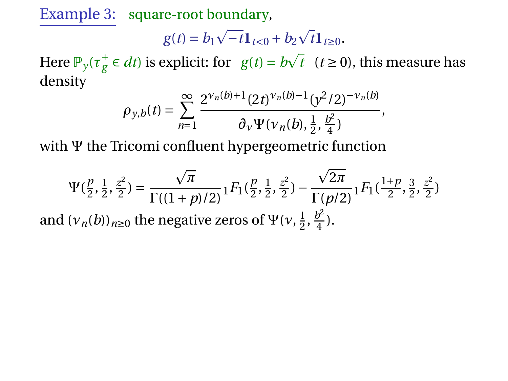Example 3: square-root boundary,

$$
g(t) = b_1 \sqrt{-t} \mathbf{1}_{t<0} + b_2 \sqrt{t} \mathbf{1}_{t\geq 0}.
$$

Here  $\mathbb{P}_y(\tau_g^+ \in dt)$  is explicit: for  $g(t) = b$  $\bar{t}$  (*t*  $\geq$  0), this measure has density

$$
\rho_{y,b}(t)=\sum_{n=1}^{\infty}\frac{2^{\nu_n(b)+1}(2t)^{\nu_n(b)-1}(y^2/2)^{-\nu_n(b)}}{\partial_{\nu}\Psi(\nu_n(b),\frac{1}{2},\frac{b^2}{4})},
$$

with Ψ the Tricomi confluent hypergeometric function

$$
\Psi(\frac{p}{2}, \frac{1}{2}, \frac{z^2}{2}) = \frac{\sqrt{\pi}}{\Gamma((1+p)/2)} {}_1F_1(\frac{p}{2}, \frac{1}{2}, \frac{z^2}{2}) - \frac{\sqrt{2\pi}}{\Gamma(p/2)} {}_1F_1(\frac{1+p}{2}, \frac{3}{2}, \frac{z^2}{2})
$$
  
and  $(v_n(b))_{n\geq 0}$  the negative zeros of  $\Psi(v, \frac{1}{2}, \frac{b^2}{4})$ .